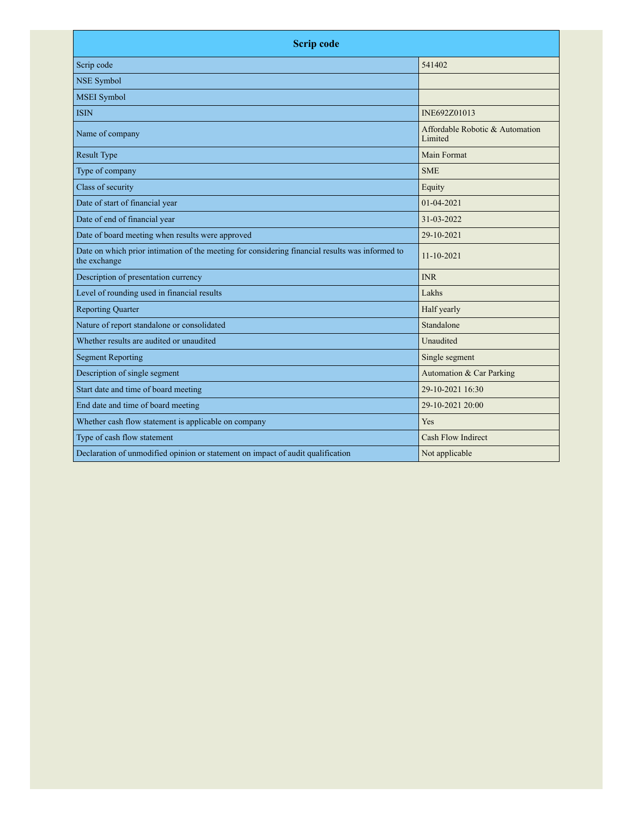| <b>Scrip code</b>                                                                                               |                                            |  |
|-----------------------------------------------------------------------------------------------------------------|--------------------------------------------|--|
| Scrip code                                                                                                      | 541402                                     |  |
| <b>NSE Symbol</b>                                                                                               |                                            |  |
| <b>MSEI</b> Symbol                                                                                              |                                            |  |
| <b>ISIN</b>                                                                                                     | INE692Z01013                               |  |
| Name of company                                                                                                 | Affordable Robotic & Automation<br>Limited |  |
| <b>Result Type</b>                                                                                              | Main Format                                |  |
| Type of company                                                                                                 | <b>SME</b>                                 |  |
| Class of security                                                                                               | Equity                                     |  |
| Date of start of financial year                                                                                 | 01-04-2021                                 |  |
| Date of end of financial year                                                                                   | 31-03-2022                                 |  |
| Date of board meeting when results were approved                                                                | 29-10-2021                                 |  |
| Date on which prior intimation of the meeting for considering financial results was informed to<br>the exchange | 11-10-2021                                 |  |
| Description of presentation currency                                                                            | <b>INR</b>                                 |  |
| Level of rounding used in financial results                                                                     | Lakhs                                      |  |
| <b>Reporting Quarter</b>                                                                                        | Half yearly                                |  |
| Nature of report standalone or consolidated                                                                     | Standalone                                 |  |
| Whether results are audited or unaudited                                                                        | Unaudited                                  |  |
| <b>Segment Reporting</b>                                                                                        | Single segment                             |  |
| Description of single segment                                                                                   | Automation & Car Parking                   |  |
| Start date and time of board meeting                                                                            | 29-10-2021 16:30                           |  |
| End date and time of board meeting                                                                              | 29-10-2021 20:00                           |  |
| Whether cash flow statement is applicable on company                                                            | Yes                                        |  |
| Type of cash flow statement                                                                                     | Cash Flow Indirect                         |  |
| Declaration of unmodified opinion or statement on impact of audit qualification                                 | Not applicable                             |  |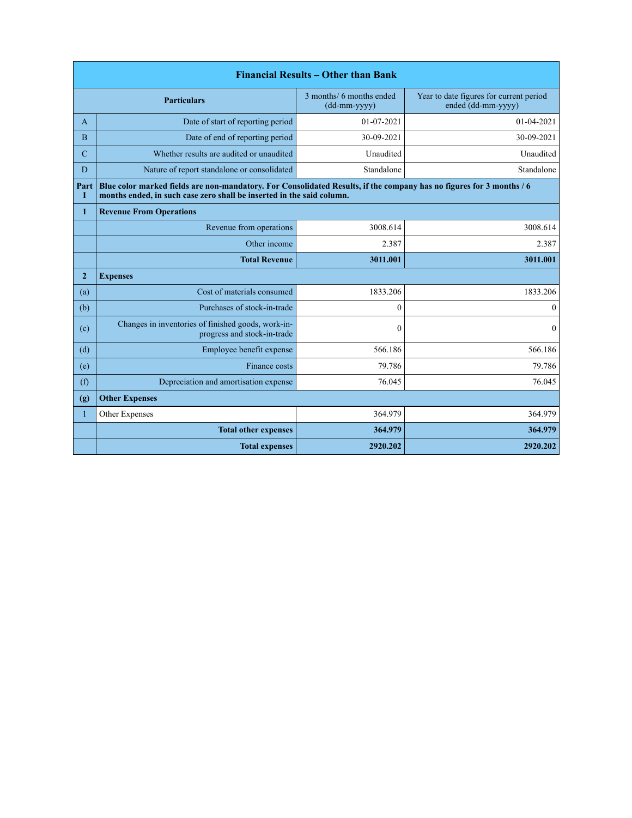| <b>Financial Results – Other than Bank</b> |                                                                                                                                                                                               |                                            |                                                               |
|--------------------------------------------|-----------------------------------------------------------------------------------------------------------------------------------------------------------------------------------------------|--------------------------------------------|---------------------------------------------------------------|
|                                            | <b>Particulars</b>                                                                                                                                                                            | 3 months/ 6 months ended<br>$(dd-mm-yyyy)$ | Year to date figures for current period<br>ended (dd-mm-yyyy) |
| A                                          | Date of start of reporting period                                                                                                                                                             | $01 - 07 - 2021$                           | 01-04-2021                                                    |
| B                                          | Date of end of reporting period                                                                                                                                                               | 30-09-2021                                 | 30-09-2021                                                    |
| $\mathbf C$                                | Whether results are audited or unaudited                                                                                                                                                      | Unaudited                                  | Unaudited                                                     |
| D                                          | Nature of report standalone or consolidated                                                                                                                                                   | Standalone                                 | Standalone                                                    |
| Part<br>L                                  | Blue color marked fields are non-mandatory. For Consolidated Results, if the company has no figures for 3 months / 6<br>months ended, in such case zero shall be inserted in the said column. |                                            |                                                               |
| $\mathbf{1}$                               | <b>Revenue From Operations</b>                                                                                                                                                                |                                            |                                                               |
|                                            | Revenue from operations                                                                                                                                                                       | 3008.614                                   | 3008.614                                                      |
|                                            | Other income                                                                                                                                                                                  | 2.387                                      | 2.387                                                         |
|                                            | <b>Total Revenue</b>                                                                                                                                                                          | 3011.001                                   | 3011.001                                                      |
| $\overline{2}$                             | <b>Expenses</b>                                                                                                                                                                               |                                            |                                                               |
| (a)                                        | Cost of materials consumed                                                                                                                                                                    | 1833.206                                   | 1833.206                                                      |
| (b)                                        | Purchases of stock-in-trade                                                                                                                                                                   | $\theta$                                   | $\mathbf{0}$                                                  |
| (c)                                        | Changes in inventories of finished goods, work-in-<br>progress and stock-in-trade                                                                                                             | $\mathbf{0}$                               | $\mathbf{0}$                                                  |
| (d)                                        | Employee benefit expense                                                                                                                                                                      | 566.186                                    | 566.186                                                       |
| (e)                                        | Finance costs                                                                                                                                                                                 | 79.786                                     | 79.786                                                        |
| (f)                                        | Depreciation and amortisation expense                                                                                                                                                         | 76.045                                     | 76.045                                                        |
| (g)                                        | <b>Other Expenses</b>                                                                                                                                                                         |                                            |                                                               |
| $\mathbf{1}$                               | Other Expenses                                                                                                                                                                                | 364.979                                    | 364.979                                                       |
|                                            | <b>Total other expenses</b>                                                                                                                                                                   | 364.979                                    | 364.979                                                       |
|                                            | <b>Total expenses</b>                                                                                                                                                                         | 2920.202                                   | 2920.202                                                      |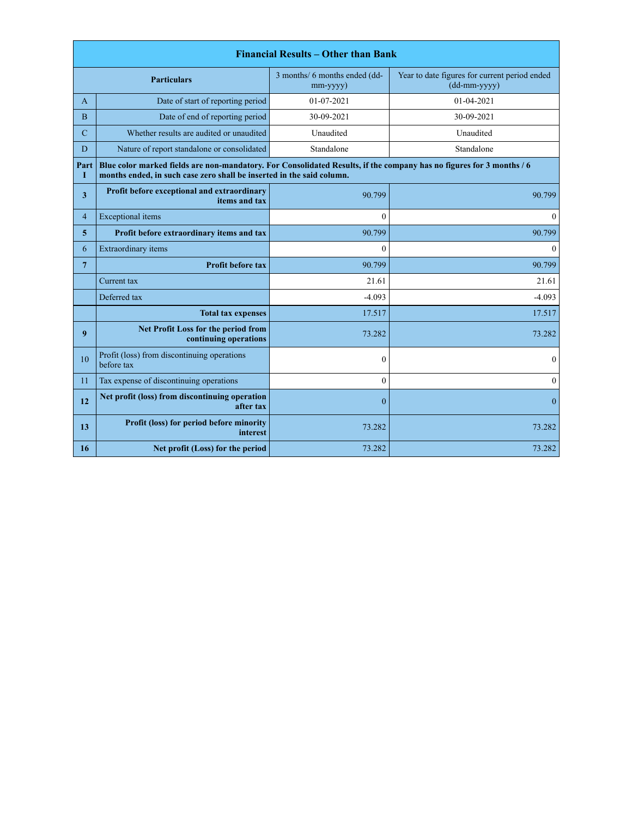| <b>Financial Results – Other than Bank</b> |                                                                                                                                                                                               |                                                 |                                                                 |
|--------------------------------------------|-----------------------------------------------------------------------------------------------------------------------------------------------------------------------------------------------|-------------------------------------------------|-----------------------------------------------------------------|
|                                            | <b>Particulars</b>                                                                                                                                                                            | 3 months/ 6 months ended (dd-<br>$mm$ -yyyy $)$ | Year to date figures for current period ended<br>$(dd-mm-yyyy)$ |
| A                                          | Date of start of reporting period                                                                                                                                                             | 01-07-2021                                      | 01-04-2021                                                      |
| B                                          | Date of end of reporting period                                                                                                                                                               | 30-09-2021                                      | 30-09-2021                                                      |
| $\mathbf C$                                | Whether results are audited or unaudited                                                                                                                                                      | Unaudited                                       | Unaudited                                                       |
| D                                          | Nature of report standalone or consolidated                                                                                                                                                   | Standalone                                      | Standalone                                                      |
| Part<br>1                                  | Blue color marked fields are non-mandatory. For Consolidated Results, if the company has no figures for 3 months / 6<br>months ended, in such case zero shall be inserted in the said column. |                                                 |                                                                 |
| 3                                          | Profit before exceptional and extraordinary<br>items and tax                                                                                                                                  | 90.799                                          | 90.799                                                          |
| $\overline{4}$                             | <b>Exceptional</b> items                                                                                                                                                                      | $\theta$                                        | $\mathbf{0}$                                                    |
| 5                                          | Profit before extraordinary items and tax                                                                                                                                                     | 90.799                                          | 90.799                                                          |
| 6                                          | Extraordinary items                                                                                                                                                                           | $\theta$                                        | $\mathbf{0}$                                                    |
| $\overline{7}$                             | <b>Profit before tax</b>                                                                                                                                                                      | 90.799                                          | 90.799                                                          |
|                                            | Current tax                                                                                                                                                                                   | 21.61                                           | 21.61                                                           |
|                                            | Deferred tax                                                                                                                                                                                  | $-4.093$                                        | $-4.093$                                                        |
|                                            | <b>Total tax expenses</b>                                                                                                                                                                     | 17.517                                          | 17.517                                                          |
| $\boldsymbol{9}$                           | Net Profit Loss for the period from<br>continuing operations                                                                                                                                  | 73.282                                          | 73.282                                                          |
| 10                                         | Profit (loss) from discontinuing operations<br>before tax                                                                                                                                     | $\mathbf{0}$                                    | $\bf{0}$                                                        |
| 11                                         | Tax expense of discontinuing operations                                                                                                                                                       | $\theta$                                        | $\mathbf{0}$                                                    |
| 12                                         | Net profit (loss) from discontinuing operation<br>after tax                                                                                                                                   | $\theta$                                        | $\mathbf{0}$                                                    |
| 13                                         | Profit (loss) for period before minority<br>interest                                                                                                                                          | 73.282                                          | 73.282                                                          |
| 16                                         | Net profit (Loss) for the period                                                                                                                                                              | 73.282                                          | 73.282                                                          |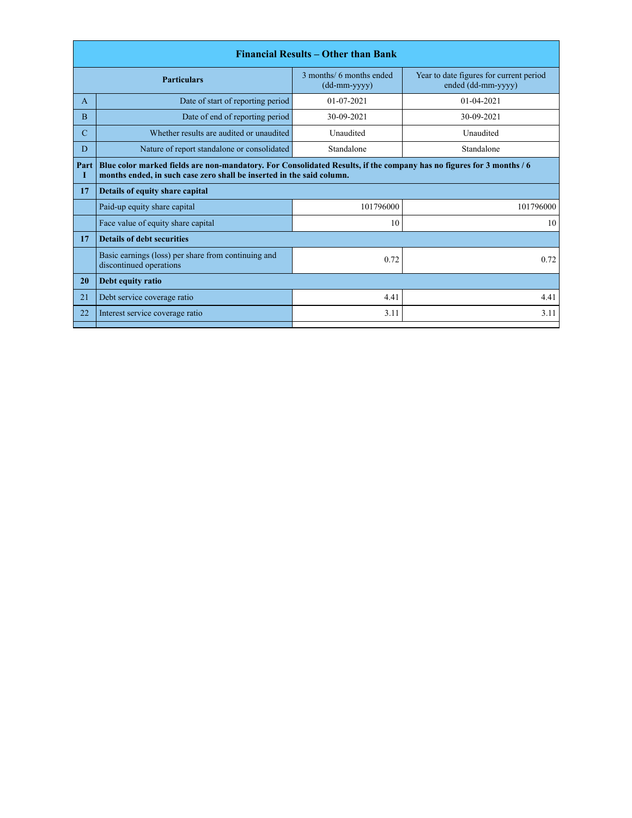|                    |                                                                                                                                                                                               | <b>Financial Results – Other than Bank</b> |                                                               |  |
|--------------------|-----------------------------------------------------------------------------------------------------------------------------------------------------------------------------------------------|--------------------------------------------|---------------------------------------------------------------|--|
| <b>Particulars</b> |                                                                                                                                                                                               | 3 months/ 6 months ended<br>$(dd-mm-yyyy)$ | Year to date figures for current period<br>ended (dd-mm-yyyy) |  |
| A                  | Date of start of reporting period                                                                                                                                                             | $01 - 07 - 2021$                           | $01-04-2021$                                                  |  |
| <sub>B</sub>       | Date of end of reporting period                                                                                                                                                               | 30-09-2021                                 | 30-09-2021                                                    |  |
| C                  | Whether results are audited or unaudited                                                                                                                                                      | Unaudited                                  | Unaudited                                                     |  |
| D                  | Nature of report standalone or consolidated                                                                                                                                                   | Standalone                                 | Standalone                                                    |  |
| Part<br>I          | Blue color marked fields are non-mandatory. For Consolidated Results, if the company has no figures for 3 months / 6<br>months ended, in such case zero shall be inserted in the said column. |                                            |                                                               |  |
| 17                 | Details of equity share capital                                                                                                                                                               |                                            |                                                               |  |
|                    | Paid-up equity share capital                                                                                                                                                                  | 101796000                                  | 101796000                                                     |  |
|                    | Face value of equity share capital                                                                                                                                                            | 10                                         | 10                                                            |  |
| 17                 | <b>Details of debt securities</b>                                                                                                                                                             |                                            |                                                               |  |
|                    | Basic earnings (loss) per share from continuing and<br>discontinued operations                                                                                                                | 0.72                                       | 0.72                                                          |  |
| 20                 | Debt equity ratio                                                                                                                                                                             |                                            |                                                               |  |
| 21                 | Debt service coverage ratio                                                                                                                                                                   | 4.41                                       | 4.41                                                          |  |
| 22                 | Interest service coverage ratio                                                                                                                                                               | 3.11                                       | 3.11                                                          |  |
|                    |                                                                                                                                                                                               |                                            |                                                               |  |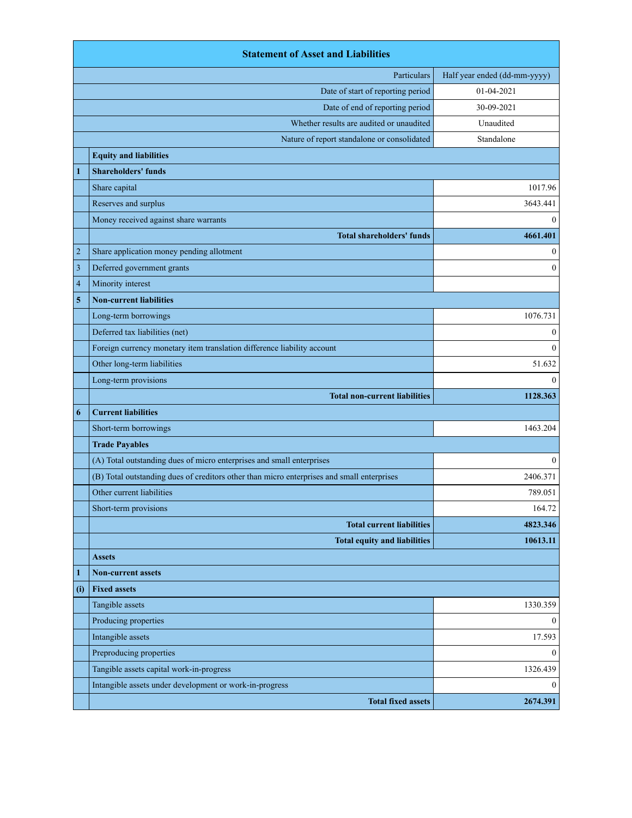|                | <b>Statement of Asset and Liabilities</b>                                                  |                              |
|----------------|--------------------------------------------------------------------------------------------|------------------------------|
|                | Particulars                                                                                | Half year ended (dd-mm-yyyy) |
|                | Date of start of reporting period                                                          | 01-04-2021                   |
|                | Date of end of reporting period                                                            | 30-09-2021                   |
|                | Whether results are audited or unaudited                                                   | Unaudited                    |
|                | Nature of report standalone or consolidated                                                | Standalone                   |
|                | <b>Equity and liabilities</b>                                                              |                              |
| 1              | <b>Shareholders' funds</b>                                                                 |                              |
|                | Share capital                                                                              | 1017.96                      |
|                | Reserves and surplus                                                                       | 3643.441                     |
|                | Money received against share warrants                                                      | $\mathbf{0}$                 |
|                | <b>Total shareholders' funds</b>                                                           | 4661.401                     |
| $\overline{c}$ | Share application money pending allotment                                                  | $\boldsymbol{0}$             |
| 3              | Deferred government grants                                                                 | $\mathbf{0}$                 |
| $\overline{4}$ | Minority interest                                                                          |                              |
| 5              | <b>Non-current liabilities</b>                                                             |                              |
|                | Long-term borrowings                                                                       | 1076.731                     |
|                | Deferred tax liabilities (net)                                                             | $\bf{0}$                     |
|                | Foreign currency monetary item translation difference liability account                    | $\theta$                     |
|                | Other long-term liabilities                                                                | 51.632                       |
|                | Long-term provisions                                                                       | $\theta$                     |
|                | <b>Total non-current liabilities</b>                                                       | 1128.363                     |
| 6              | <b>Current liabilities</b>                                                                 |                              |
|                | Short-term borrowings                                                                      | 1463.204                     |
|                | <b>Trade Payables</b>                                                                      |                              |
|                | (A) Total outstanding dues of micro enterprises and small enterprises                      | $\theta$                     |
|                | (B) Total outstanding dues of creditors other than micro enterprises and small enterprises | 2406.371                     |
|                | Other current liabilities                                                                  | 789.051                      |
|                | Short-term provisions                                                                      | 164.72                       |
|                | <b>Total current liabilities</b>                                                           | 4823.346                     |
|                | <b>Total equity and liabilities</b>                                                        | 10613.11                     |
|                | <b>Assets</b>                                                                              |                              |
| $\mathbf{1}$   | <b>Non-current assets</b>                                                                  |                              |
| (i)            | <b>Fixed assets</b>                                                                        |                              |
|                | Tangible assets                                                                            | 1330.359                     |
|                | Producing properties                                                                       | $\mathbf{0}$                 |
|                | Intangible assets                                                                          | 17.593                       |
|                | Preproducing properties                                                                    | $\mathbf{0}$                 |
|                | Tangible assets capital work-in-progress                                                   | 1326.439                     |
|                | Intangible assets under development or work-in-progress                                    | $\theta$                     |
|                | <b>Total fixed assets</b>                                                                  | 2674.391                     |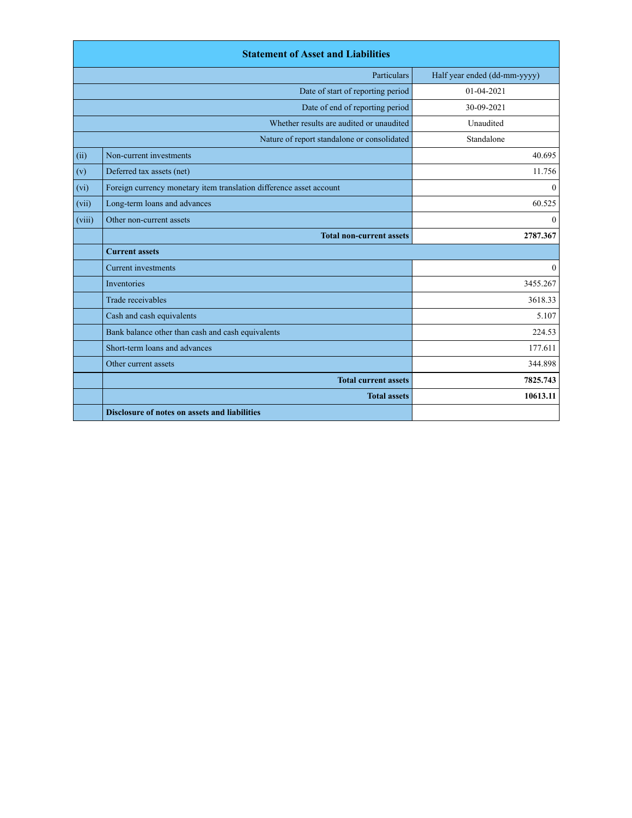|        | <b>Statement of Asset and Liabilities</b>                           |                              |
|--------|---------------------------------------------------------------------|------------------------------|
|        | Particulars                                                         | Half year ended (dd-mm-yyyy) |
|        | Date of start of reporting period                                   | 01-04-2021                   |
|        | Date of end of reporting period                                     | 30-09-2021                   |
|        | Whether results are audited or unaudited                            | Unaudited                    |
|        | Nature of report standalone or consolidated                         | Standalone                   |
| (ii)   | Non-current investments                                             | 40.695                       |
| (v)    | Deferred tax assets (net)                                           | 11.756                       |
| (vi)   | Foreign currency monetary item translation difference asset account | $\mathbf{0}$                 |
| (vii)  | Long-term loans and advances                                        | 60.525                       |
| (viii) | Other non-current assets                                            | $\theta$                     |
|        | <b>Total non-current assets</b>                                     | 2787.367                     |
|        | <b>Current assets</b>                                               |                              |
|        | <b>Current</b> investments                                          | $\mathbf{0}$                 |
|        | Inventories                                                         | 3455.267                     |
|        | Trade receivables                                                   | 3618.33                      |
|        | Cash and cash equivalents                                           | 5.107                        |
|        | Bank balance other than cash and cash equivalents                   | 224.53                       |
|        | Short-term loans and advances                                       | 177.611                      |
|        | Other current assets                                                | 344.898                      |
|        | <b>Total current assets</b>                                         | 7825.743                     |
|        | <b>Total assets</b>                                                 | 10613.11                     |
|        | Disclosure of notes on assets and liabilities                       |                              |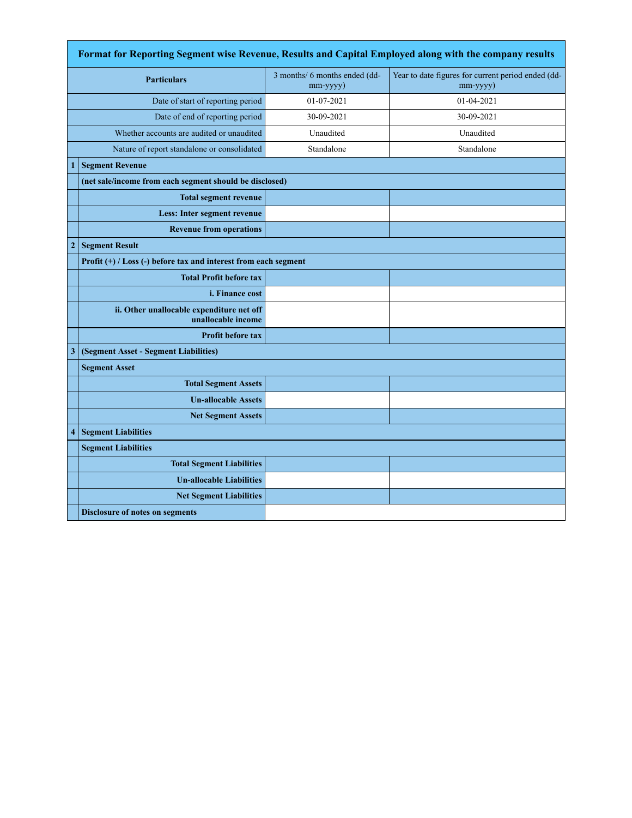|              | Format for Reporting Segment wise Revenue, Results and Capital Employed along with the company results |                                           |                                                                |  |  |
|--------------|--------------------------------------------------------------------------------------------------------|-------------------------------------------|----------------------------------------------------------------|--|--|
|              | <b>Particulars</b>                                                                                     | 3 months/ 6 months ended (dd-<br>mm-yyyy) | Year to date figures for current period ended (dd-<br>mm-yyyy) |  |  |
|              | Date of start of reporting period                                                                      | 01-07-2021                                | 01-04-2021                                                     |  |  |
|              | Date of end of reporting period                                                                        | 30-09-2021                                | 30-09-2021                                                     |  |  |
|              | Whether accounts are audited or unaudited                                                              | Unaudited                                 | Unaudited                                                      |  |  |
|              | Nature of report standalone or consolidated                                                            | Standalone                                | Standalone                                                     |  |  |
|              | <b>Segment Revenue</b>                                                                                 |                                           |                                                                |  |  |
|              | (net sale/income from each segment should be disclosed)                                                |                                           |                                                                |  |  |
|              | <b>Total segment revenue</b>                                                                           |                                           |                                                                |  |  |
|              | Less: Inter segment revenue                                                                            |                                           |                                                                |  |  |
|              | <b>Revenue from operations</b>                                                                         |                                           |                                                                |  |  |
| $\mathbf{2}$ | <b>Segment Result</b>                                                                                  |                                           |                                                                |  |  |
|              | Profit $(+)$ / Loss $(-)$ before tax and interest from each segment                                    |                                           |                                                                |  |  |
|              | <b>Total Profit before tax</b>                                                                         |                                           |                                                                |  |  |
|              | <i>i. Finance cost</i>                                                                                 |                                           |                                                                |  |  |
|              | ii. Other unallocable expenditure net off<br>unallocable income                                        |                                           |                                                                |  |  |
|              | <b>Profit before tax</b>                                                                               |                                           |                                                                |  |  |
| 3            | (Segment Asset - Segment Liabilities)                                                                  |                                           |                                                                |  |  |
|              | <b>Segment Asset</b>                                                                                   |                                           |                                                                |  |  |
|              | <b>Total Segment Assets</b>                                                                            |                                           |                                                                |  |  |
|              | <b>Un-allocable Assets</b>                                                                             |                                           |                                                                |  |  |
|              | <b>Net Segment Assets</b>                                                                              |                                           |                                                                |  |  |
| 4            | <b>Segment Liabilities</b>                                                                             |                                           |                                                                |  |  |
|              | <b>Segment Liabilities</b>                                                                             |                                           |                                                                |  |  |
|              | <b>Total Segment Liabilities</b>                                                                       |                                           |                                                                |  |  |
|              | <b>Un-allocable Liabilities</b>                                                                        |                                           |                                                                |  |  |
|              | <b>Net Segment Liabilities</b>                                                                         |                                           |                                                                |  |  |
|              | <b>Disclosure of notes on segments</b>                                                                 |                                           |                                                                |  |  |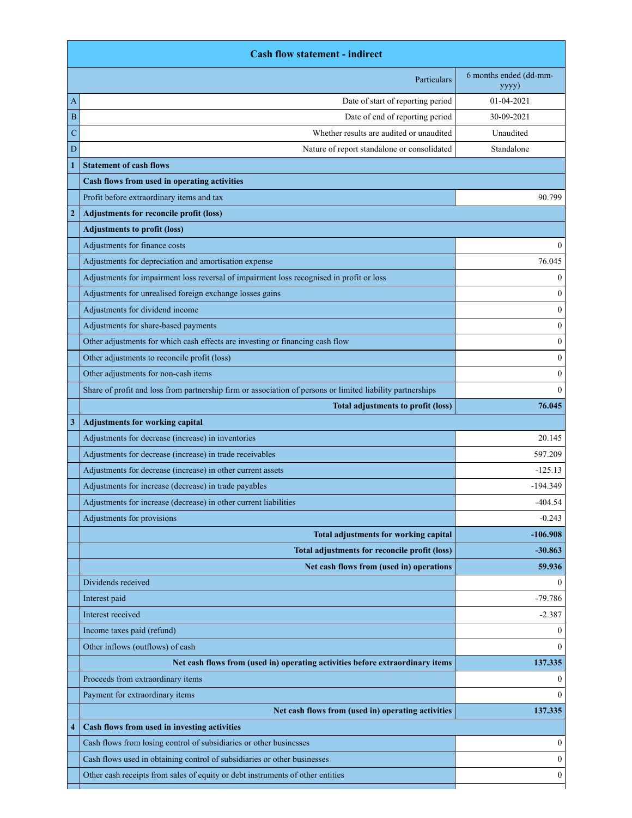|                | <b>Cash flow statement - indirect</b>                                                                      |                                 |
|----------------|------------------------------------------------------------------------------------------------------------|---------------------------------|
|                | Particulars                                                                                                | 6 months ended (dd-mm-<br>yyyy) |
| A              | Date of start of reporting period                                                                          | 01-04-2021                      |
| B              | Date of end of reporting period                                                                            | 30-09-2021                      |
| C              | Whether results are audited or unaudited                                                                   | Unaudited                       |
| D              | Nature of report standalone or consolidated                                                                | Standalone                      |
|                | <b>Statement of cash flows</b>                                                                             |                                 |
|                | Cash flows from used in operating activities                                                               |                                 |
|                | Profit before extraordinary items and tax                                                                  | 90.799                          |
| $\overline{2}$ | <b>Adjustments for reconcile profit (loss)</b>                                                             |                                 |
|                | <b>Adjustments to profit (loss)</b>                                                                        |                                 |
|                | Adjustments for finance costs                                                                              | $\theta$                        |
|                | Adjustments for depreciation and amortisation expense                                                      | 76.045                          |
|                | Adjustments for impairment loss reversal of impairment loss recognised in profit or loss                   | $\mathbf{0}$                    |
|                | Adjustments for unrealised foreign exchange losses gains                                                   | $\mathbf{0}$                    |
|                | Adjustments for dividend income                                                                            | $\mathbf{0}$                    |
|                | Adjustments for share-based payments                                                                       | $\mathbf{0}$                    |
|                | Other adjustments for which cash effects are investing or financing cash flow                              | $\mathbf{0}$                    |
|                | Other adjustments to reconcile profit (loss)                                                               | $\mathbf{0}$                    |
|                | Other adjustments for non-cash items                                                                       | $\mathbf{0}$                    |
|                | Share of profit and loss from partnership firm or association of persons or limited liability partnerships | $\theta$                        |
|                | <b>Total adjustments to profit (loss)</b>                                                                  | 76.045                          |
| 3              | <b>Adjustments for working capital</b>                                                                     |                                 |
|                | Adjustments for decrease (increase) in inventories                                                         | 20.145                          |
|                | Adjustments for decrease (increase) in trade receivables                                                   | 597.209                         |
|                | Adjustments for decrease (increase) in other current assets                                                | $-125.13$                       |
|                | Adjustments for increase (decrease) in trade payables                                                      | $-194.349$                      |
|                | Adjustments for increase (decrease) in other current liabilities                                           | 404.54                          |
|                | Adjustments for provisions                                                                                 | $-0.243$                        |
|                | Total adjustments for working capital                                                                      | $-106.908$                      |
|                | Total adjustments for reconcile profit (loss)                                                              | $-30.863$                       |
|                | Net cash flows from (used in) operations                                                                   | 59.936                          |
|                | Dividends received                                                                                         | $\Omega$                        |
|                | Interest paid                                                                                              | $-79.786$                       |
|                | Interest received                                                                                          | $-2.387$                        |
|                | Income taxes paid (refund)                                                                                 | $\overline{0}$                  |
|                | Other inflows (outflows) of cash                                                                           | $\theta$                        |
|                | Net cash flows from (used in) operating activities before extraordinary items                              | 137.335                         |
|                | Proceeds from extraordinary items                                                                          | $\mathbf{0}$                    |
|                | Payment for extraordinary items                                                                            | $\Omega$                        |
|                | Net cash flows from (used in) operating activities                                                         | 137.335                         |
| 4              | Cash flows from used in investing activities                                                               |                                 |
|                | Cash flows from losing control of subsidiaries or other businesses                                         | $\overline{0}$                  |
|                | Cash flows used in obtaining control of subsidiaries or other businesses                                   | $\Omega$                        |
|                | Other cash receipts from sales of equity or debt instruments of other entities                             | $\boldsymbol{0}$                |
|                |                                                                                                            |                                 |